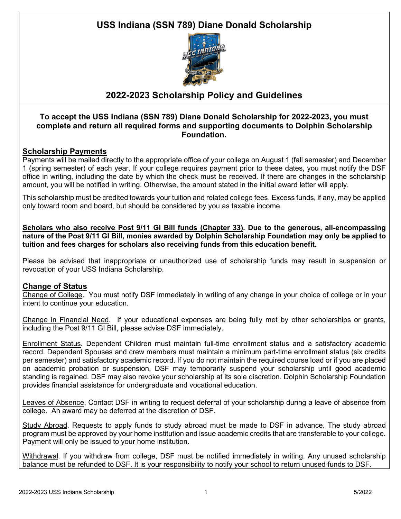# **USS Indiana (SSN 789) Diane Donald Scholarship**



### **2022-2023 Scholarship Policy and Guidelines**

#### **To accept the USS Indiana (SSN 789) Diane Donald Scholarship for 2022-2023, you must complete and return all required forms and supporting documents to Dolphin Scholarship Foundation.**

### **Scholarship Payments**

Payments will be mailed directly to the appropriate office of your college on August 1 (fall semester) and December 1 (spring semester) of each year. If your college requires payment prior to these dates, you must notify the DSF office in writing, including the date by which the check must be received. If there are changes in the scholarship amount, you will be notified in writing. Otherwise, the amount stated in the initial award letter will apply.

This scholarship must be credited towards your tuition and related college fees. Excess funds, if any, may be applied only toward room and board, but should be considered by you as taxable income.

**Scholars who also receive Post 9/11 GI Bill funds (Chapter 33). Due to the generous, all-encompassing nature of the Post 9/11 GI Bill, monies awarded by Dolphin Scholarship Foundation may only be applied to tuition and fees charges for scholars also receiving funds from this education benefit.**

Please be advised that inappropriate or unauthorized use of scholarship funds may result in suspension or revocation of your USS Indiana Scholarship.

### **Change of Status**

Change of College. You must notify DSF immediately in writing of any change in your choice of college or in your intent to continue your education.

Change in Financial Need. If your educational expenses are being fully met by other scholarships or grants, including the Post 9/11 GI Bill, please advise DSF immediately.

Enrollment Status. Dependent Children must maintain full-time enrollment status and a satisfactory academic record. Dependent Spouses and crew members must maintain a minimum part-time enrollment status (six credits per semester) and satisfactory academic record. If you do not maintain the required course load or if you are placed on academic probation or suspension, DSF may temporarily suspend your scholarship until good academic standing is regained. DSF may also revoke your scholarship at its sole discretion. Dolphin Scholarship Foundation provides financial assistance for undergraduate and vocational education.

Leaves of Absence. Contact DSF in writing to request deferral of your scholarship during a leave of absence from college. An award may be deferred at the discretion of DSF.

Study Abroad. Requests to apply funds to study abroad must be made to DSF in advance. The study abroad program must be approved by your home institution and issue academic credits that are transferable to your college. Payment will only be issued to your home institution.

Withdrawal. If you withdraw from college, DSF must be notified immediately in writing. Any unused scholarship balance must be refunded to DSF. It is your responsibility to notify your school to return unused funds to DSF.